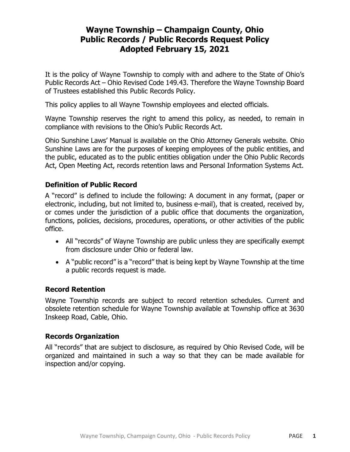# Wayne Township – Champaign County, Ohio Public Records / Public Records Request Policy Adopted February 15, 2021

It is the policy of Wayne Township to comply with and adhere to the State of Ohio's Public Records Act – Ohio Revised Code 149.43. Therefore the Wayne Township Board of Trustees established this Public Records Policy.

This policy applies to all Wayne Township employees and elected officials.

Wayne Township reserves the right to amend this policy, as needed, to remain in compliance with revisions to the Ohio's Public Records Act.

Ohio Sunshine Laws' Manual is available on the Ohio Attorney Generals website. Ohio Sunshine Laws are for the purposes of keeping employees of the public entities, and the public, educated as to the public entities obligation under the Ohio Public Records Act, Open Meeting Act, records retention laws and Personal Information Systems Act.

#### Definition of Public Record

A "record" is defined to include the following: A document in any format, (paper or electronic, including, but not limited to, business e-mail), that is created, received by, or comes under the jurisdiction of a public office that documents the organization, functions, policies, decisions, procedures, operations, or other activities of the public office.

- All "records" of Wayne Township are public unless they are specifically exempt from disclosure under Ohio or federal law.
- A "public record" is a "record" that is being kept by Wayne Township at the time a public records request is made.

#### Record Retention

Wayne Township records are subject to record retention schedules. Current and obsolete retention schedule for Wayne Township available at Township office at 3630 Inskeep Road, Cable, Ohio.

#### Records Organization

All "records" that are subject to disclosure, as required by Ohio Revised Code, will be organized and maintained in such a way so that they can be made available for inspection and/or copying.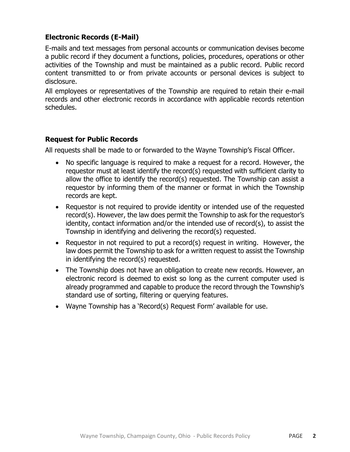## Electronic Records (E-Mail)

E-mails and text messages from personal accounts or communication devises become a public record if they document a functions, policies, procedures, operations or other activities of the Township and must be maintained as a public record. Public record content transmitted to or from private accounts or personal devices is subject to disclosure.

All employees or representatives of the Township are required to retain their e-mail records and other electronic records in accordance with applicable records retention schedules.

#### Request for Public Records

All requests shall be made to or forwarded to the Wayne Township's Fiscal Officer.

- No specific language is required to make a request for a record. However, the requestor must at least identify the record(s) requested with sufficient clarity to allow the office to identify the record(s) requested. The Township can assist a requestor by informing them of the manner or format in which the Township records are kept.
- Requestor is not required to provide identity or intended use of the requested record(s). However, the law does permit the Township to ask for the requestor's identity, contact information and/or the intended use of record(s), to assist the Township in identifying and delivering the record(s) requested.
- Requestor in not required to put a record(s) request in writing. However, the law does permit the Township to ask for a written request to assist the Township in identifying the record(s) requested.
- The Township does not have an obligation to create new records. However, an electronic record is deemed to exist so long as the current computer used is already programmed and capable to produce the record through the Township's standard use of sorting, filtering or querying features.
- Wayne Township has a 'Record(s) Request Form' available for use.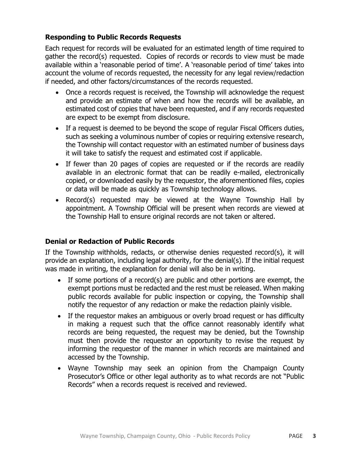# Responding to Public Records Requests

Each request for records will be evaluated for an estimated length of time required to gather the record(s) requested. Copies of records or records to view must be made available within a 'reasonable period of time'. A 'reasonable period of time' takes into account the volume of records requested, the necessity for any legal review/redaction if needed, and other factors/circumstances of the records requested.

- Once a records request is received, the Township will acknowledge the request and provide an estimate of when and how the records will be available, an estimated cost of copies that have been requested, and if any records requested are expect to be exempt from disclosure.
- If a request is deemed to be beyond the scope of regular Fiscal Officers duties, such as seeking a voluminous number of copies or requiring extensive research, the Township will contact requestor with an estimated number of business days it will take to satisfy the request and estimated cost if applicable.
- If fewer than 20 pages of copies are requested or if the records are readily available in an electronic format that can be readily e-mailed, electronically copied, or downloaded easily by the requestor, the aforementioned files, copies or data will be made as quickly as Township technology allows.
- Record(s) requested may be viewed at the Wayne Township Hall by appointment. A Township Official will be present when records are viewed at the Township Hall to ensure original records are not taken or altered.

# Denial or Redaction of Public Records

If the Township withholds, redacts, or otherwise denies requested record(s), it will provide an explanation, including legal authority, for the denial(s). If the initial request was made in writing, the explanation for denial will also be in writing.

- If some portions of a record(s) are public and other portions are exempt, the exempt portions must be redacted and the rest must be released. When making public records available for public inspection or copying, the Township shall notify the requestor of any redaction or make the redaction plainly visible.
- If the requestor makes an ambiguous or overly broad request or has difficulty in making a request such that the office cannot reasonably identify what records are being requested, the request may be denied, but the Township must then provide the requestor an opportunity to revise the request by informing the requestor of the manner in which records are maintained and accessed by the Township.
- Wayne Township may seek an opinion from the Champaign County Prosecutor's Office or other legal authority as to what records are not "Public Records" when a records request is received and reviewed.